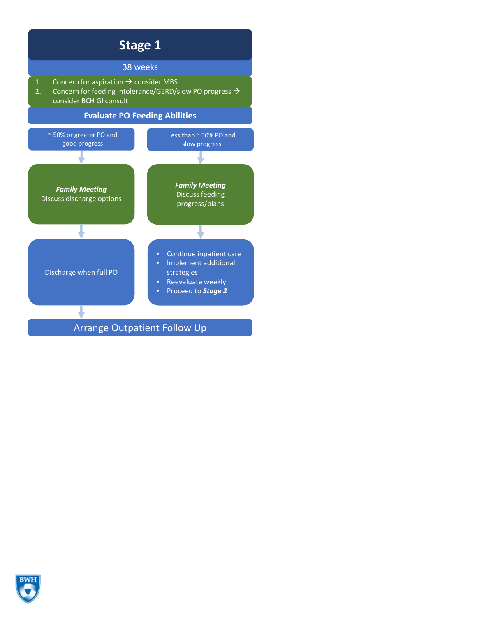

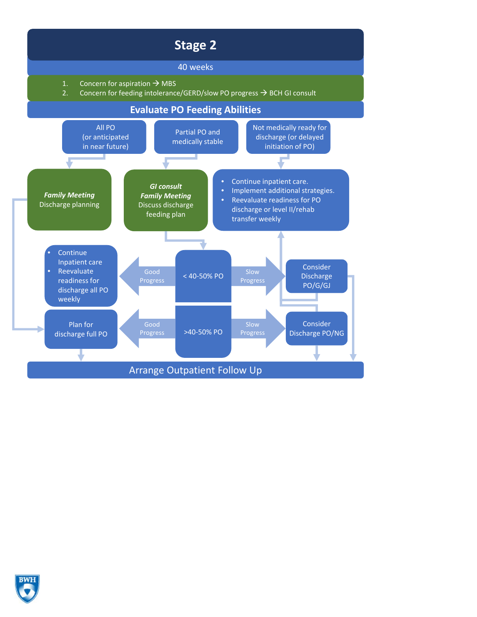